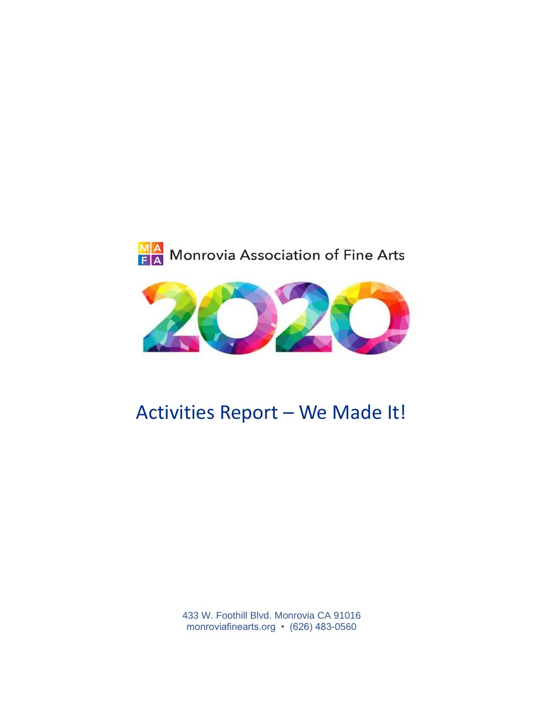



# Activities Report – We Made It!

433 W. Foothill Blvd. Monrovia CA 91016 monroviafinearts.org • (626) 483-0560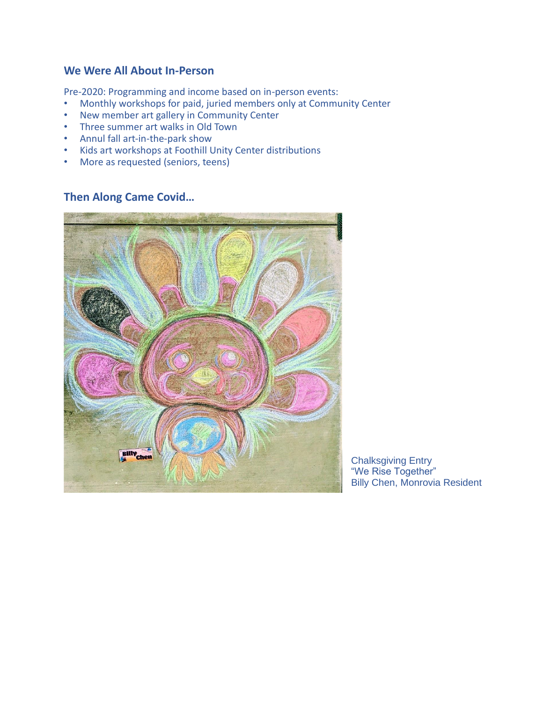#### **We Were All About In-Person**

Pre-2020: Programming and income based on in-person events:

- Monthly workshops for paid, juried members only at Community Center
- New member art gallery in Community Center
- Three summer art walks in Old Town
- Annul fall art-in-the-park show
- Kids art workshops at Foothill Unity Center distributions
- More as requested (seniors, teens)

#### **Then Along Came Covid…**



Chalksgiving Entry "We Rise Together" Billy Chen, Monrovia Resident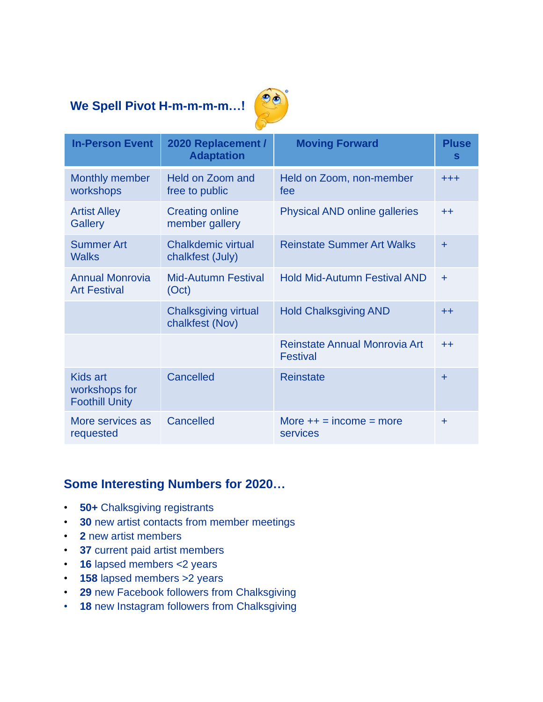# **We Spell Pivot H-m-m-m-m…!**



| <b>In-Person Event</b>                             | 2020 Replacement /<br><b>Adaptation</b>        | <b>Moving Forward</b>                            | <b>Pluse</b><br>S |
|----------------------------------------------------|------------------------------------------------|--------------------------------------------------|-------------------|
| Monthly member<br>workshops                        | Held on Zoom and<br>free to public             | Held on Zoom, non-member<br>fee                  | $^{+ + +}$        |
| <b>Artist Alley</b><br>Gallery                     | <b>Creating online</b><br>member gallery       | <b>Physical AND online galleries</b>             | $+ +$             |
| <b>Summer Art</b><br><b>Walks</b>                  | <b>Chalkdemic virtual</b><br>chalkfest (July)  | <b>Reinstate Summer Art Walks</b>                | $\ddot{}$         |
| <b>Annual Monrovia</b><br><b>Art Festival</b>      | <b>Mid-Autumn Festival</b><br>(Oct)            | <b>Hold Mid-Autumn Festival AND</b>              | ÷                 |
|                                                    | <b>Chalksgiving virtual</b><br>chalkfest (Nov) | <b>Hold Chalksgiving AND</b>                     | $^{++}$           |
|                                                    |                                                | Reinstate Annual Monrovia Art<br><b>Festival</b> | $^{++}$           |
| Kids art<br>workshops for<br><b>Foothill Unity</b> | Cancelled                                      | <b>Reinstate</b>                                 | $\ddot{}$         |
| More services as<br>requested                      | Cancelled                                      | More $++ = income = more$<br>services            | ÷                 |

# **Some Interesting Numbers for 2020…**

- **50+** Chalksgiving registrants
- **30** new artist contacts from member meetings
- **2** new artist members
- **37** current paid artist members
- **16** lapsed members <2 years
- **158** lapsed members >2 years
- **29** new Facebook followers from Chalksgiving
- **18** new Instagram followers from Chalksgiving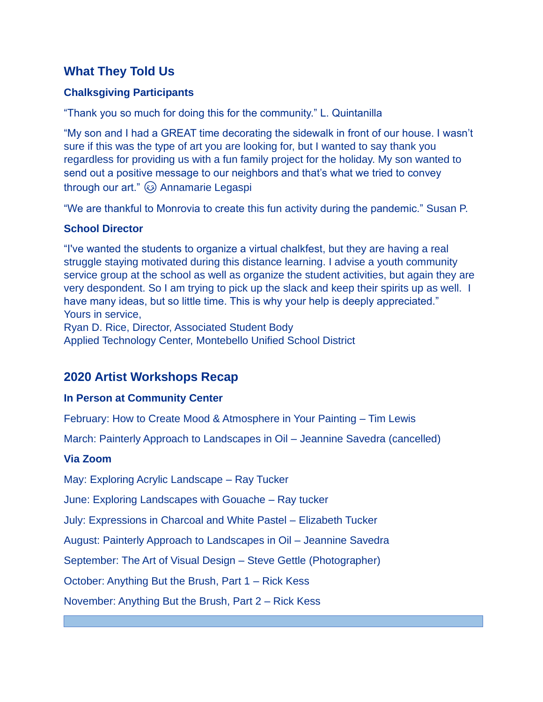### **What They Told Us**

#### **Chalksgiving Participants**

"Thank you so much for doing this for the community." L. Quintanilla

"My son and I had a GREAT time decorating the sidewalk in front of our house. I wasn't sure if this was the type of art you are looking for, but I wanted to say thank you regardless for providing us with a fun family project for the holiday. My son wanted to send out a positive message to our neighbors and that's what we tried to convey through our art."  $\circled{a}$  Annamarie Legaspi

"We are thankful to Monrovia to create this fun activity during the pandemic." Susan P.

#### **School Director**

"I've wanted the students to organize a virtual chalkfest, but they are having a real struggle staying motivated during this distance learning. I advise a youth community service group at the school as well as organize the student activities, but again they are very despondent. So I am trying to pick up the slack and keep their spirits up as well. I have many ideas, but so little time. This is why your help is deeply appreciated." Yours in service,

Ryan D. Rice, Director, Associated Student Body Applied Technology Center, Montebello Unified School District

# **2020 Artist Workshops Recap**

#### **In Person at Community Center**

February: How to Create Mood & Atmosphere in Your Painting – Tim Lewis

March: Painterly Approach to Landscapes in Oil – Jeannine Savedra (cancelled)

#### **Via Zoom**

May: Exploring Acrylic Landscape – Ray Tucker

June: Exploring Landscapes with Gouache – Ray tucker

July: Expressions in Charcoal and White Pastel – Elizabeth Tucker

August: Painterly Approach to Landscapes in Oil – Jeannine Savedra

September: The Art of Visual Design – Steve Gettle (Photographer)

October: Anything But the Brush, Part 1 – Rick Kess

November: Anything But the Brush, Part 2 – Rick Kess